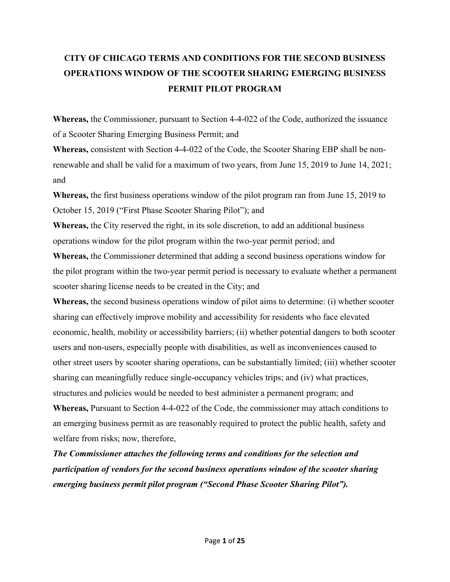# **CITY OF CHICAGO TERMS AND CONDITIONS FOR THE SECOND BUSINESS OPERATIONS WINDOW OF THE SCOOTER SHARING EMERGING BUSINESS PERMIT PILOT PROGRAM**

**Whereas,** the Commissioner, pursuant to Section 4-4-022 of the Code, authorized the issuance of a Scooter Sharing Emerging Business Permit; and

**Whereas,** consistent with Section 4-4-022 of the Code, the Scooter Sharing EBP shall be nonrenewable and shall be valid for a maximum of two years, from June 15, 2019 to June 14, 2021; and

**Whereas,** the first business operations window of the pilot program ran from June 15, 2019 to October 15, 2019 ("First Phase Scooter Sharing Pilot"); and

**Whereas,** the City reserved the right, in its sole discretion, to add an additional business operations window for the pilot program within the two-year permit period; and

**Whereas,** the Commissioner determined that adding a second business operations window for the pilot program within the two-year permit period is necessary to evaluate whether a permanent scooter sharing license needs to be created in the City; and

**Whereas,** the second business operations window of pilot aims to determine: (i) whether scooter sharing can effectively improve mobility and accessibility for residents who face elevated economic, health, mobility or accessibility barriers; (ii) whether potential dangers to both scooter users and non-users, especially people with disabilities, as well as inconveniences caused to other street users by scooter sharing operations, can be substantially limited; (iii) whether scooter sharing can meaningfully reduce single-occupancy vehicles trips; and (iv) what practices, structures and policies would be needed to best administer a permanent program; and

**Whereas,** Pursuant to Section 4-4-022 of the Code, the commissioner may attach conditions to an emerging business permit as are reasonably required to protect the public health, safety and welfare from risks; now, therefore,

*The Commissioner attaches the following terms and conditions for the selection and participation of vendors for the second business operations window of the scooter sharing emerging business permit pilot program ("Second Phase Scooter Sharing Pilot").*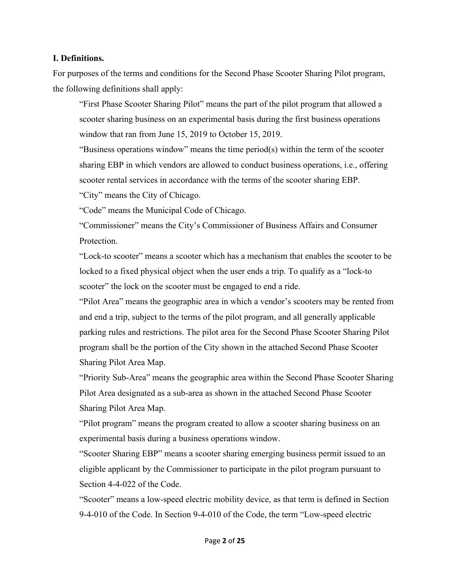#### **I. Definitions.**

For purposes of the terms and conditions for the Second Phase Scooter Sharing Pilot program, the following definitions shall apply:

"First Phase Scooter Sharing Pilot" means the part of the pilot program that allowed a scooter sharing business on an experimental basis during the first business operations window that ran from June 15, 2019 to October 15, 2019.

"Business operations window" means the time period(s) within the term of the scooter sharing EBP in which vendors are allowed to conduct business operations, i.e., offering scooter rental services in accordance with the terms of the scooter sharing EBP.

"City" means the City of Chicago.

"Code" means the Municipal Code of Chicago.

"Commissioner" means the City's Commissioner of Business Affairs and Consumer Protection.

"Lock-to scooter" means a scooter which has a mechanism that enables the scooter to be locked to a fixed physical object when the user ends a trip. To qualify as a "lock-to scooter" the lock on the scooter must be engaged to end a ride.

"Pilot Area" means the geographic area in which a vendor's scooters may be rented from and end a trip, subject to the terms of the pilot program, and all generally applicable parking rules and restrictions. The pilot area for the Second Phase Scooter Sharing Pilot program shall be the portion of the City shown in the attached Second Phase Scooter Sharing Pilot Area Map.

"Priority Sub-Area" means the geographic area within the Second Phase Scooter Sharing Pilot Area designated as a sub-area as shown in the attached Second Phase Scooter Sharing Pilot Area Map.

"Pilot program" means the program created to allow a scooter sharing business on an experimental basis during a business operations window.

"Scooter Sharing EBP" means a scooter sharing emerging business permit issued to an eligible applicant by the Commissioner to participate in the pilot program pursuant to Section 4-4-022 of the Code.

"Scooter" means a low-speed electric mobility device, as that term is defined in Section 9-4-010 of the Code. In Section 9-4-010 of the Code, the term "Low-speed electric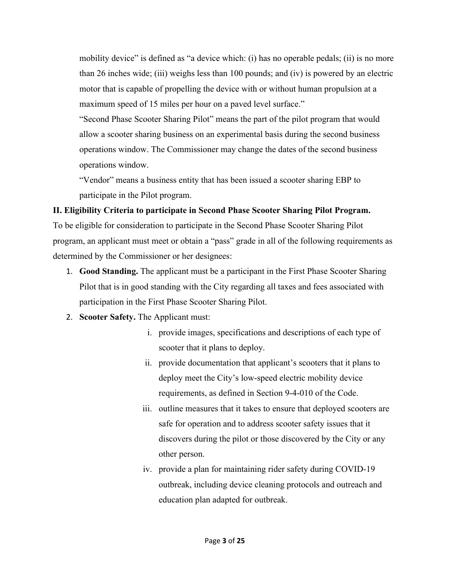mobility device" is defined as "a device which: (i) has no operable pedals; (ii) is no more than 26 inches wide; (iii) weighs less than 100 pounds; and (iv) is powered by an electric motor that is capable of propelling the device with or without human propulsion at a maximum speed of 15 miles per hour on a paved level surface."

"Second Phase Scooter Sharing Pilot" means the part of the pilot program that would allow a scooter sharing business on an experimental basis during the second business operations window. The Commissioner may change the dates of the second business operations window.

"Vendor" means a business entity that has been issued a scooter sharing EBP to participate in the Pilot program.

## **II. Eligibility Criteria to participate in Second Phase Scooter Sharing Pilot Program.**

To be eligible for consideration to participate in the Second Phase Scooter Sharing Pilot program, an applicant must meet or obtain a "pass" grade in all of the following requirements as determined by the Commissioner or her designees:

- 1. **Good Standing.** The applicant must be a participant in the First Phase Scooter Sharing Pilot that is in good standing with the City regarding all taxes and fees associated with participation in the First Phase Scooter Sharing Pilot.
- 2. **Scooter Safety.** The Applicant must:
	- i. provide images, specifications and descriptions of each type of scooter that it plans to deploy.
	- ii. provide documentation that applicant's scooters that it plans to deploy meet the City's low-speed electric mobility device requirements, as defined in Section 9-4-010 of the Code.
	- iii. outline measures that it takes to ensure that deployed scooters are safe for operation and to address scooter safety issues that it discovers during the pilot or those discovered by the City or any other person.
	- iv. provide a plan for maintaining rider safety during COVID-19 outbreak, including device cleaning protocols and outreach and education plan adapted for outbreak.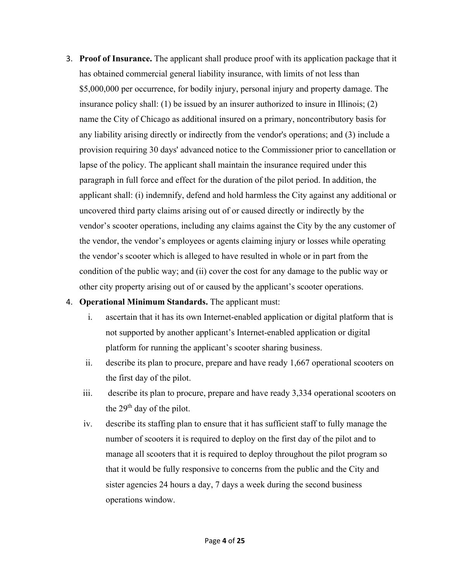3. **Proof of Insurance.** The applicant shall produce proof with its application package that it has obtained commercial general liability insurance, with limits of not less than \$5,000,000 per occurrence, for bodily injury, personal injury and property damage. The insurance policy shall: (1) be issued by an insurer authorized to insure in Illinois; (2) name the City of Chicago as additional insured on a primary, noncontributory basis for any liability arising directly or indirectly from the vendor's operations; and (3) include a provision requiring 30 days' advanced notice to the Commissioner prior to cancellation or lapse of the policy. The applicant shall maintain the insurance required under this paragraph in full force and effect for the duration of the pilot period. In addition, the applicant shall: (i) indemnify, defend and hold harmless the City against any additional or uncovered third party claims arising out of or caused directly or indirectly by the vendor's scooter operations, including any claims against the City by the any customer of the vendor, the vendor's employees or agents claiming injury or losses while operating the vendor's scooter which is alleged to have resulted in whole or in part from the condition of the public way; and (ii) cover the cost for any damage to the public way or other city property arising out of or caused by the applicant's scooter operations.

#### 4. **Operational Minimum Standards.** The applicant must:

- i. ascertain that it has its own Internet-enabled application or digital platform that is not supported by another applicant's Internet-enabled application or digital platform for running the applicant's scooter sharing business.
- ii. describe its plan to procure, prepare and have ready 1,667 operational scooters on the first day of the pilot.
- iii. describe its plan to procure, prepare and have ready 3,334 operational scooters on the 29<sup>th</sup> day of the pilot.
- iv. describe its staffing plan to ensure that it has sufficient staff to fully manage the number of scooters it is required to deploy on the first day of the pilot and to manage all scooters that it is required to deploy throughout the pilot program so that it would be fully responsive to concerns from the public and the City and sister agencies 24 hours a day, 7 days a week during the second business operations window.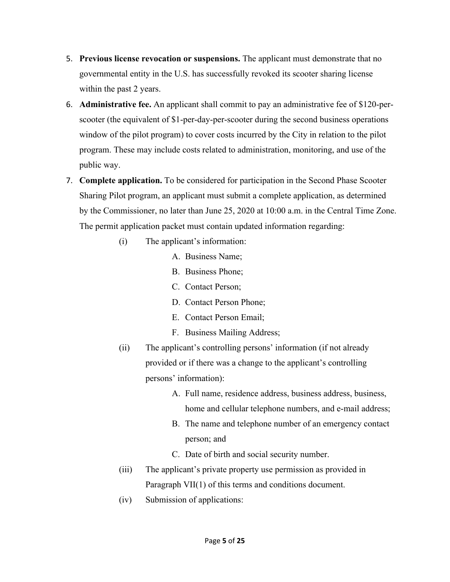- 5. **Previous license revocation or suspensions.** The applicant must demonstrate that no governmental entity in the U.S. has successfully revoked its scooter sharing license within the past 2 years.
- 6. **Administrative fee.** An applicant shall commit to pay an administrative fee of \$120-perscooter (the equivalent of \$1-per-day-per-scooter during the second business operations window of the pilot program) to cover costs incurred by the City in relation to the pilot program. These may include costs related to administration, monitoring, and use of the public way.
- 7. **Complete application.** To be considered for participation in the Second Phase Scooter Sharing Pilot program, an applicant must submit a complete application, as determined by the Commissioner, no later than June 25, 2020 at 10:00 a.m. in the Central Time Zone. The permit application packet must contain updated information regarding:
	- (i) The applicant's information:
		- A. Business Name;
		- B. Business Phone;
		- C. Contact Person;
		- D. Contact Person Phone;
		- E. Contact Person Email;
		- F. Business Mailing Address;
	- (ii) The applicant's controlling persons' information (if not already provided or if there was a change to the applicant's controlling persons' information):
		- A. Full name, residence address, business address, business, home and cellular telephone numbers, and e-mail address;
		- B. The name and telephone number of an emergency contact person; and
		- C. Date of birth and social security number.
	- (iii) The applicant's private property use permission as provided in Paragraph VII(1) of this terms and conditions document.
	- (iv) Submission of applications: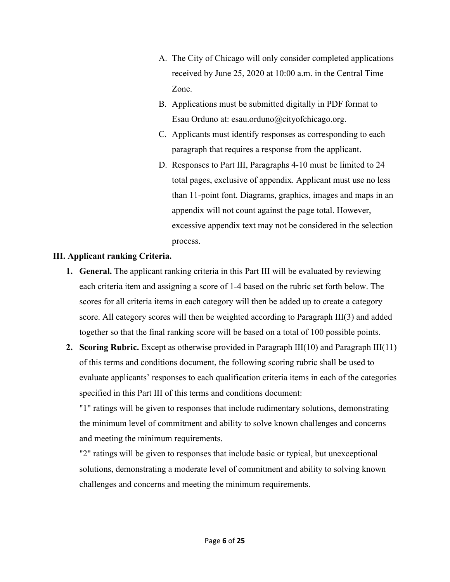- A. The City of Chicago will only consider completed applications received by June 25, 2020 at 10:00 a.m. in the Central Time Zone.
- B. Applications must be submitted digitally in PDF format to Esau Orduno at: esau.orduno@cityofchicago.org.
- C. Applicants must identify responses as corresponding to each paragraph that requires a response from the applicant.
- D. Responses to Part III, Paragraphs 4-10 must be limited to 24 total pages, exclusive of appendix. Applicant must use no less than 11-point font. Diagrams, graphics, images and maps in an appendix will not count against the page total. However, excessive appendix text may not be considered in the selection process.

## **III. Applicant ranking Criteria.**

- **1. General.** The applicant ranking criteria in this Part III will be evaluated by reviewing each criteria item and assigning a score of 1-4 based on the rubric set forth below. The scores for all criteria items in each category will then be added up to create a category score. All category scores will then be weighted according to Paragraph III(3) and added together so that the final ranking score will be based on a total of 100 possible points.
- **2. Scoring Rubric.** Except as otherwise provided in Paragraph III(10) and Paragraph III(11) of this terms and conditions document, the following scoring rubric shall be used to evaluate applicants' responses to each qualification criteria items in each of the categories specified in this Part III of this terms and conditions document:

"1" ratings will be given to responses that include rudimentary solutions, demonstrating the minimum level of commitment and ability to solve known challenges and concerns and meeting the minimum requirements.

"2" ratings will be given to responses that include basic or typical, but unexceptional solutions, demonstrating a moderate level of commitment and ability to solving known challenges and concerns and meeting the minimum requirements.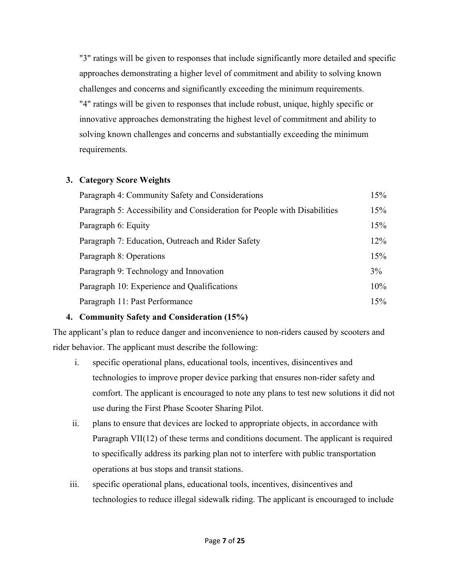"3" ratings will be given to responses that include significantly more detailed and specific approaches demonstrating a higher level of commitment and ability to solving known challenges and concerns and significantly exceeding the minimum requirements. "4" ratings will be given to responses that include robust, unique, highly specific or innovative approaches demonstrating the highest level of commitment and ability to solving known challenges and concerns and substantially exceeding the minimum requirements.

#### **3. Category Score Weights**

| Paragraph 4: Community Safety and Considerations                          | 15% |
|---------------------------------------------------------------------------|-----|
| Paragraph 5: Accessibility and Consideration for People with Disabilities | 15% |
| Paragraph 6: Equity                                                       | 15% |
| Paragraph 7: Education, Outreach and Rider Safety                         | 12% |
| Paragraph 8: Operations                                                   | 15% |
| Paragraph 9: Technology and Innovation                                    | 3%  |
| Paragraph 10: Experience and Qualifications                               | 10% |
| Paragraph 11: Past Performance                                            | 15% |

## **4. Community Safety and Consideration (15%)**

The applicant's plan to reduce danger and inconvenience to non-riders caused by scooters and rider behavior. The applicant must describe the following:

- i. specific operational plans, educational tools, incentives, disincentives and technologies to improve proper device parking that ensures non-rider safety and comfort. The applicant is encouraged to note any plans to test new solutions it did not use during the First Phase Scooter Sharing Pilot.
- ii. plans to ensure that devices are locked to appropriate objects, in accordance with Paragraph VII(12) of these terms and conditions document. The applicant is required to specifically address its parking plan not to interfere with public transportation operations at bus stops and transit stations.
- iii. specific operational plans, educational tools, incentives, disincentives and technologies to reduce illegal sidewalk riding. The applicant is encouraged to include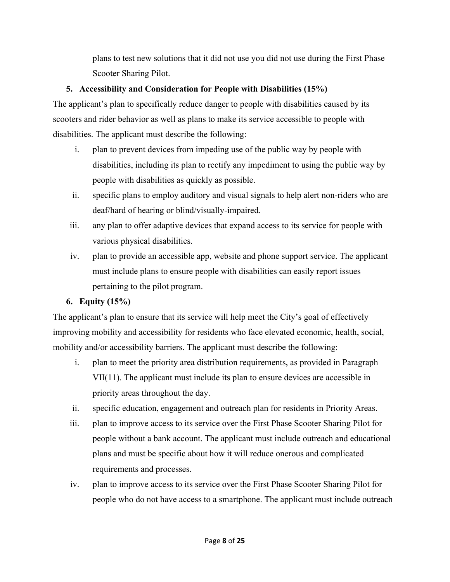plans to test new solutions that it did not use you did not use during the First Phase Scooter Sharing Pilot.

## **5. Accessibility and Consideration for People with Disabilities (15%)**

The applicant's plan to specifically reduce danger to people with disabilities caused by its scooters and rider behavior as well as plans to make its service accessible to people with disabilities. The applicant must describe the following:

- i. plan to prevent devices from impeding use of the public way by people with disabilities, including its plan to rectify any impediment to using the public way by people with disabilities as quickly as possible.
- ii. specific plans to employ auditory and visual signals to help alert non-riders who are deaf/hard of hearing or blind/visually-impaired.
- iii. any plan to offer adaptive devices that expand access to its service for people with various physical disabilities.
- iv. plan to provide an accessible app, website and phone support service. The applicant must include plans to ensure people with disabilities can easily report issues pertaining to the pilot program.

# **6. Equity (15%)**

The applicant's plan to ensure that its service will help meet the City's goal of effectively improving mobility and accessibility for residents who face elevated economic, health, social, mobility and/or accessibility barriers. The applicant must describe the following:

- i. plan to meet the priority area distribution requirements, as provided in Paragraph VII(11). The applicant must include its plan to ensure devices are accessible in priority areas throughout the day.
- ii. specific education, engagement and outreach plan for residents in Priority Areas.
- iii. plan to improve access to its service over the First Phase Scooter Sharing Pilot for people without a bank account. The applicant must include outreach and educational plans and must be specific about how it will reduce onerous and complicated requirements and processes.
- iv. plan to improve access to its service over the First Phase Scooter Sharing Pilot for people who do not have access to a smartphone. The applicant must include outreach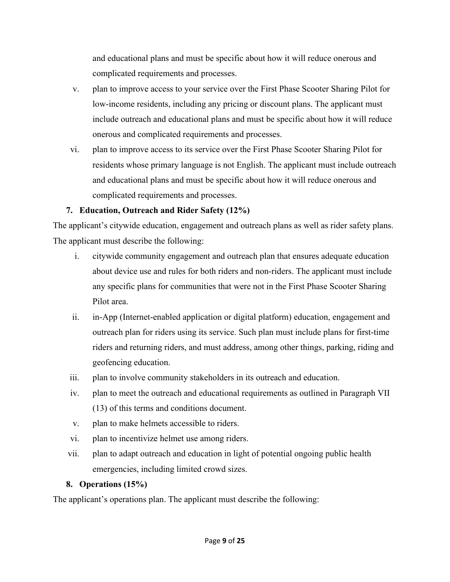and educational plans and must be specific about how it will reduce onerous and complicated requirements and processes.

- v. plan to improve access to your service over the First Phase Scooter Sharing Pilot for low-income residents, including any pricing or discount plans. The applicant must include outreach and educational plans and must be specific about how it will reduce onerous and complicated requirements and processes.
- vi. plan to improve access to its service over the First Phase Scooter Sharing Pilot for residents whose primary language is not English. The applicant must include outreach and educational plans and must be specific about how it will reduce onerous and complicated requirements and processes.

# **7. Education, Outreach and Rider Safety (12%)**

The applicant's citywide education, engagement and outreach plans as well as rider safety plans. The applicant must describe the following:

- i. citywide community engagement and outreach plan that ensures adequate education about device use and rules for both riders and non-riders. The applicant must include any specific plans for communities that were not in the First Phase Scooter Sharing Pilot area.
- ii. in-App (Internet-enabled application or digital platform) education, engagement and outreach plan for riders using its service. Such plan must include plans for first-time riders and returning riders, and must address, among other things, parking, riding and geofencing education.
- iii. plan to involve community stakeholders in its outreach and education.
- iv. plan to meet the outreach and educational requirements as outlined in Paragraph VII (13) of this terms and conditions document.
- v. plan to make helmets accessible to riders.
- vi. plan to incentivize helmet use among riders.
- vii. plan to adapt outreach and education in light of potential ongoing public health emergencies, including limited crowd sizes.

# **8. Operations (15%)**

The applicant's operations plan. The applicant must describe the following: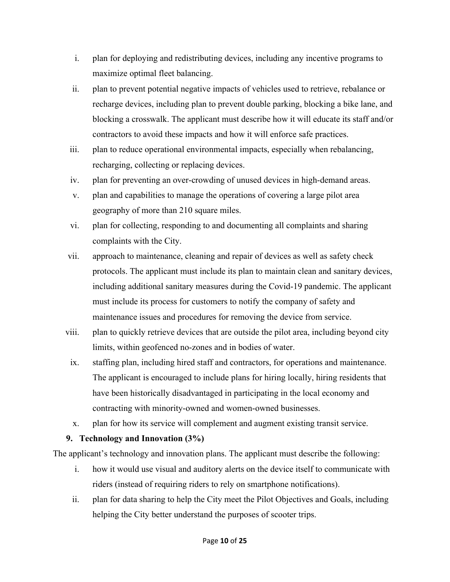- i. plan for deploying and redistributing devices, including any incentive programs to maximize optimal fleet balancing.
- ii. plan to prevent potential negative impacts of vehicles used to retrieve, rebalance or recharge devices, including plan to prevent double parking, blocking a bike lane, and blocking a crosswalk. The applicant must describe how it will educate its staff and/or contractors to avoid these impacts and how it will enforce safe practices.
- iii. plan to reduce operational environmental impacts, especially when rebalancing, recharging, collecting or replacing devices.
- iv. plan for preventing an over-crowding of unused devices in high-demand areas.
- v. plan and capabilities to manage the operations of covering a large pilot area geography of more than 210 square miles.
- vi. plan for collecting, responding to and documenting all complaints and sharing complaints with the City.
- vii. approach to maintenance, cleaning and repair of devices as well as safety check protocols. The applicant must include its plan to maintain clean and sanitary devices, including additional sanitary measures during the Covid-19 pandemic. The applicant must include its process for customers to notify the company of safety and maintenance issues and procedures for removing the device from service.
- viii. plan to quickly retrieve devices that are outside the pilot area, including beyond city limits, within geofenced no-zones and in bodies of water.
	- ix. staffing plan, including hired staff and contractors, for operations and maintenance. The applicant is encouraged to include plans for hiring locally, hiring residents that have been historically disadvantaged in participating in the local economy and contracting with minority-owned and women-owned businesses.
	- x. plan for how its service will complement and augment existing transit service.

## **9. Technology and Innovation (3%)**

The applicant's technology and innovation plans. The applicant must describe the following:

- i. how it would use visual and auditory alerts on the device itself to communicate with riders (instead of requiring riders to rely on smartphone notifications).
- ii. plan for data sharing to help the City meet the Pilot Objectives and Goals, including helping the City better understand the purposes of scooter trips.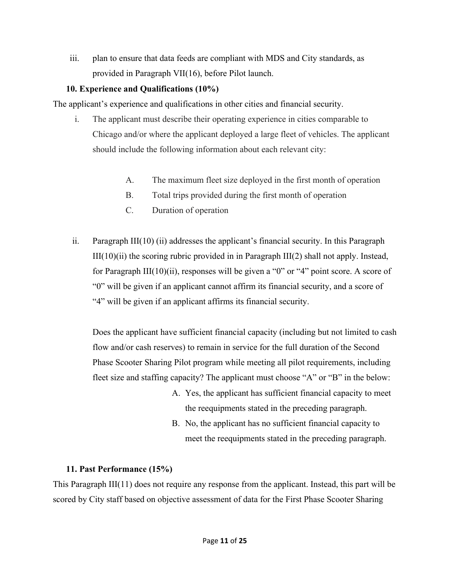iii. plan to ensure that data feeds are compliant with MDS and City standards, as provided in Paragraph VII(16), before Pilot launch.

## **10. Experience and Qualifications (10%)**

The applicant's experience and qualifications in other cities and financial security.

- i. The applicant must describe their operating experience in cities comparable to Chicago and/or where the applicant deployed a large fleet of vehicles. The applicant should include the following information about each relevant city:
	- A. The maximum fleet size deployed in the first month of operation
	- B. Total trips provided during the first month of operation
	- C. Duration of operation
- ii. Paragraph III(10) (ii) addresses the applicant's financial security. In this Paragraph  $III(10)(ii)$  the scoring rubric provided in in Paragraph  $III(2)$  shall not apply. Instead, for Paragraph III(10)(ii), responses will be given a "0" or "4" point score. A score of "0" will be given if an applicant cannot affirm its financial security, and a score of "4" will be given if an applicant affirms its financial security.

Does the applicant have sufficient financial capacity (including but not limited to cash flow and/or cash reserves) to remain in service for the full duration of the Second Phase Scooter Sharing Pilot program while meeting all pilot requirements, including fleet size and staffing capacity? The applicant must choose "A" or "B" in the below:

- A. Yes, the applicant has sufficient financial capacity to meet the reequipments stated in the preceding paragraph.
- B. No, the applicant has no sufficient financial capacity to meet the reequipments stated in the preceding paragraph.

# **11. Past Performance (15%)**

This Paragraph III(11) does not require any response from the applicant. Instead, this part will be scored by City staff based on objective assessment of data for the First Phase Scooter Sharing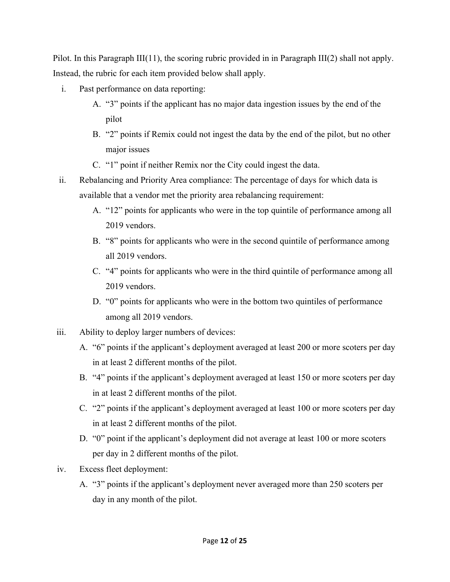Pilot. In this Paragraph III(11), the scoring rubric provided in in Paragraph III(2) shall not apply. Instead, the rubric for each item provided below shall apply.

- i. Past performance on data reporting:
	- A. "3" points if the applicant has no major data ingestion issues by the end of the pilot
	- B. "2" points if Remix could not ingest the data by the end of the pilot, but no other major issues
	- C. "1" point if neither Remix nor the City could ingest the data.
- ii. Rebalancing and Priority Area compliance: The percentage of days for which data is available that a vendor met the priority area rebalancing requirement:
	- A. "12" points for applicants who were in the top quintile of performance among all 2019 vendors.
	- B. "8" points for applicants who were in the second quintile of performance among all 2019 vendors.
	- C. "4" points for applicants who were in the third quintile of performance among all 2019 vendors.
	- D. "0" points for applicants who were in the bottom two quintiles of performance among all 2019 vendors.
- iii. Ability to deploy larger numbers of devices:
	- A. "6" points if the applicant's deployment averaged at least 200 or more scoters per day in at least 2 different months of the pilot.
	- B. "4" points if the applicant's deployment averaged at least 150 or more scoters per day in at least 2 different months of the pilot.
	- C. "2" points if the applicant's deployment averaged at least 100 or more scoters per day in at least 2 different months of the pilot.
	- D. "0" point if the applicant's deployment did not average at least 100 or more scoters per day in 2 different months of the pilot.
- iv. Excess fleet deployment:
	- A. "3" points if the applicant's deployment never averaged more than 250 scoters per day in any month of the pilot.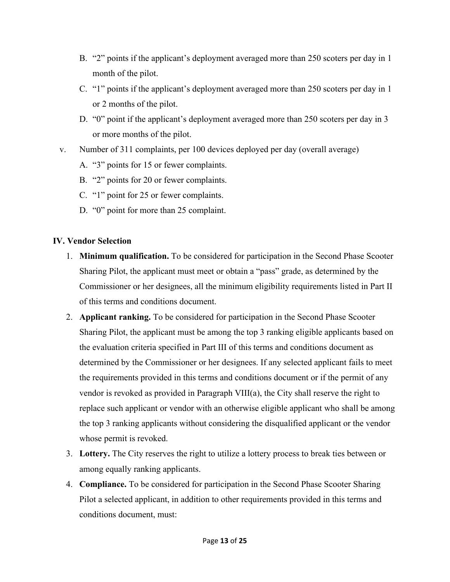- B. "2" points if the applicant's deployment averaged more than 250 scoters per day in 1 month of the pilot.
- C. "1" points if the applicant's deployment averaged more than 250 scoters per day in 1 or 2 months of the pilot.
- D. "0" point if the applicant's deployment averaged more than 250 scoters per day in 3 or more months of the pilot.
- v. Number of 311 complaints, per 100 devices deployed per day (overall average)
	- A. "3" points for 15 or fewer complaints.
	- B. "2" points for 20 or fewer complaints.
	- C. "1" point for 25 or fewer complaints.
	- D. "0" point for more than 25 complaint.

## **IV. Vendor Selection**

- 1. **Minimum qualification.** To be considered for participation in the Second Phase Scooter Sharing Pilot, the applicant must meet or obtain a "pass" grade, as determined by the Commissioner or her designees, all the minimum eligibility requirements listed in Part II of this terms and conditions document.
- 2. **Applicant ranking.** To be considered for participation in the Second Phase Scooter Sharing Pilot, the applicant must be among the top 3 ranking eligible applicants based on the evaluation criteria specified in Part III of this terms and conditions document as determined by the Commissioner or her designees. If any selected applicant fails to meet the requirements provided in this terms and conditions document or if the permit of any vendor is revoked as provided in Paragraph VIII(a), the City shall reserve the right to replace such applicant or vendor with an otherwise eligible applicant who shall be among the top 3 ranking applicants without considering the disqualified applicant or the vendor whose permit is revoked.
- 3. **Lottery.** The City reserves the right to utilize a lottery process to break ties between or among equally ranking applicants.
- 4. **Compliance.** To be considered for participation in the Second Phase Scooter Sharing Pilot a selected applicant, in addition to other requirements provided in this terms and conditions document, must: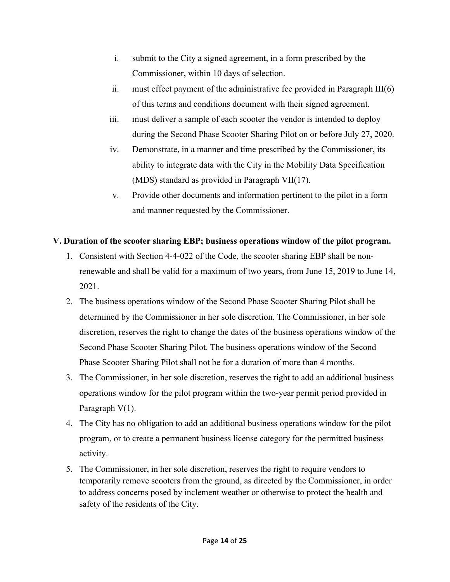- i. submit to the City a signed agreement, in a form prescribed by the Commissioner, within 10 days of selection.
- ii. must effect payment of the administrative fee provided in Paragraph III(6) of this terms and conditions document with their signed agreement.
- iii. must deliver a sample of each scooter the vendor is intended to deploy during the Second Phase Scooter Sharing Pilot on or before July 27, 2020.
- iv. Demonstrate, in a manner and time prescribed by the Commissioner, its ability to integrate data with the City in the Mobility Data Specification (MDS) standard as provided in Paragraph VII(17).
- v. Provide other documents and information pertinent to the pilot in a form and manner requested by the Commissioner.

# **V. Duration of the scooter sharing EBP; business operations window of the pilot program.**

- 1. Consistent with Section 4-4-022 of the Code, the scooter sharing EBP shall be nonrenewable and shall be valid for a maximum of two years, from June 15, 2019 to June 14, 2021.
- 2. The business operations window of the Second Phase Scooter Sharing Pilot shall be determined by the Commissioner in her sole discretion. The Commissioner, in her sole discretion, reserves the right to change the dates of the business operations window of the Second Phase Scooter Sharing Pilot. The business operations window of the Second Phase Scooter Sharing Pilot shall not be for a duration of more than 4 months.
- 3. The Commissioner, in her sole discretion, reserves the right to add an additional business operations window for the pilot program within the two-year permit period provided in Paragraph V(1).
- 4. The City has no obligation to add an additional business operations window for the pilot program, or to create a permanent business license category for the permitted business activity.
- 5. The Commissioner, in her sole discretion, reserves the right to require vendors to temporarily remove scooters from the ground, as directed by the Commissioner, in order to address concerns posed by inclement weather or otherwise to protect the health and safety of the residents of the City.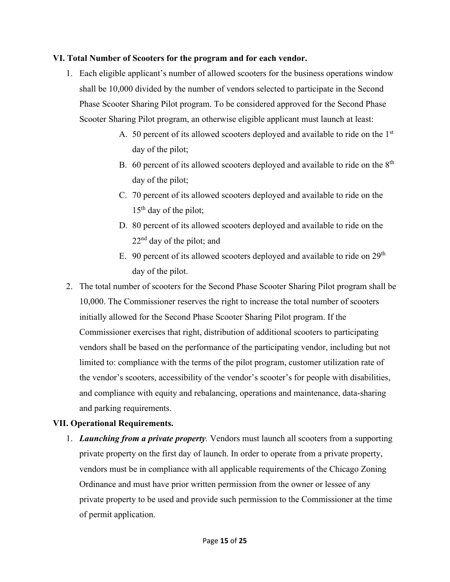#### **VI. Total Number of Scooters for the program and for each vendor.**

- 1. Each eligible applicant's number of allowed scooters for the business operations window shall be 10,000 divided by the number of vendors selected to participate in the Second Phase Scooter Sharing Pilot program. To be considered approved for the Second Phase Scooter Sharing Pilot program, an otherwise eligible applicant must launch at least:
	- A. 50 percent of its allowed scooters deployed and available to ride on the 1st day of the pilot;
	- B. 60 percent of its allowed scooters deployed and available to ride on the  $8<sup>th</sup>$ day of the pilot;
	- C. 70 percent of its allowed scooters deployed and available to ride on the  $15<sup>th</sup>$  day of the pilot;
	- D. 80 percent of its allowed scooters deployed and available to ride on the  $22<sup>nd</sup>$  day of the pilot; and
	- E. 90 percent of its allowed scooters deployed and available to ride on  $29<sup>th</sup>$ day of the pilot.
- 2. The total number of scooters for the Second Phase Scooter Sharing Pilot program shall be 10,000. The Commissioner reserves the right to increase the total number of scooters initially allowed for the Second Phase Scooter Sharing Pilot program. If the Commissioner exercises that right, distribution of additional scooters to participating vendors shall be based on the performance of the participating vendor, including but not limited to: compliance with the terms of the pilot program, customer utilization rate of the vendor's scooters, accessibility of the vendor's scooter's for people with disabilities, and compliance with equity and rebalancing, operations and maintenance, data-sharing and parking requirements.

#### **VII. Operational Requirements.**

1. *Launching from a private property.* Vendors must launch all scooters from a supporting private property on the first day of launch. In order to operate from a private property, vendors must be in compliance with all applicable requirements of the Chicago Zoning Ordinance and must have prior written permission from the owner or lessee of any private property to be used and provide such permission to the Commissioner at the time of permit application.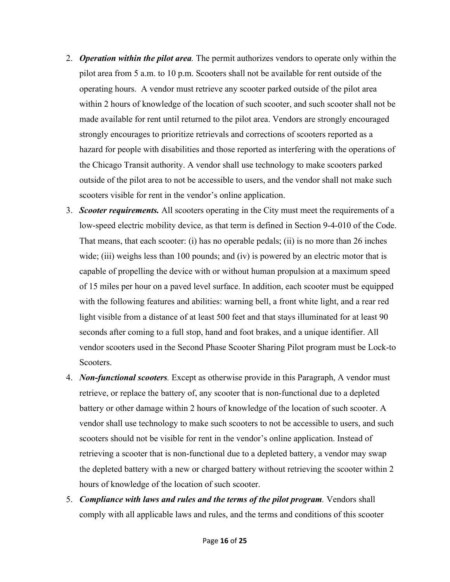- 2. *Operation within the pilot area.* The permit authorizes vendors to operate only within the pilot area from 5 a.m. to 10 p.m. Scooters shall not be available for rent outside of the operating hours. A vendor must retrieve any scooter parked outside of the pilot area within 2 hours of knowledge of the location of such scooter, and such scooter shall not be made available for rent until returned to the pilot area. Vendors are strongly encouraged strongly encourages to prioritize retrievals and corrections of scooters reported as a hazard for people with disabilities and those reported as interfering with the operations of the Chicago Transit authority. A vendor shall use technology to make scooters parked outside of the pilot area to not be accessible to users, and the vendor shall not make such scooters visible for rent in the vendor's online application.
- 3. *Scooter requirements.* All scooters operating in the City must meet the requirements of a low-speed electric mobility device, as that term is defined in Section 9-4-010 of the Code. That means, that each scooter: (i) has no operable pedals; (ii) is no more than 26 inches wide; (iii) weighs less than 100 pounds; and (iv) is powered by an electric motor that is capable of propelling the device with or without human propulsion at a maximum speed of 15 miles per hour on a paved level surface. In addition, each scooter must be equipped with the following features and abilities: warning bell, a front white light, and a rear red light visible from a distance of at least 500 feet and that stays illuminated for at least 90 seconds after coming to a full stop, hand and foot brakes, and a unique identifier. All vendor scooters used in the Second Phase Scooter Sharing Pilot program must be Lock-to Scooters.
- 4. *Non-functional scooters.* Except as otherwise provide in this Paragraph, A vendor must retrieve, or replace the battery of, any scooter that is non-functional due to a depleted battery or other damage within 2 hours of knowledge of the location of such scooter. A vendor shall use technology to make such scooters to not be accessible to users, and such scooters should not be visible for rent in the vendor's online application. Instead of retrieving a scooter that is non-functional due to a depleted battery, a vendor may swap the depleted battery with a new or charged battery without retrieving the scooter within 2 hours of knowledge of the location of such scooter.
- 5. *Compliance with laws and rules and the terms of the pilot program.* Vendors shall comply with all applicable laws and rules, and the terms and conditions of this scooter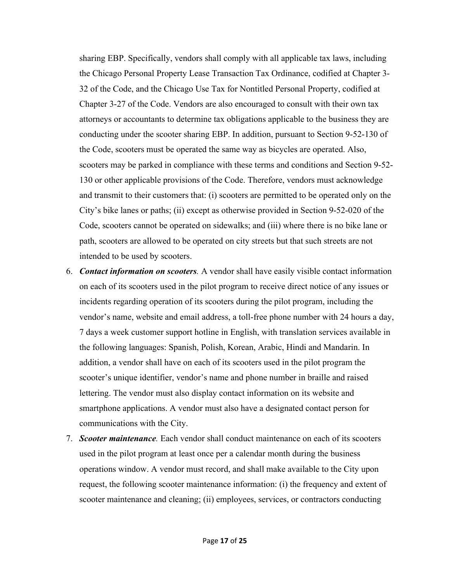sharing EBP. Specifically, vendors shall comply with all applicable tax laws, including the Chicago Personal Property Lease Transaction Tax Ordinance, codified at Chapter 3- 32 of the Code, and the Chicago Use Tax for Nontitled Personal Property, codified at Chapter 3-27 of the Code. Vendors are also encouraged to consult with their own tax attorneys or accountants to determine tax obligations applicable to the business they are conducting under the scooter sharing EBP. In addition, pursuant to Section 9-52-130 of the Code, scooters must be operated the same way as bicycles are operated. Also, scooters may be parked in compliance with these terms and conditions and Section 9-52- 130 or other applicable provisions of the Code. Therefore, vendors must acknowledge and transmit to their customers that: (i) scooters are permitted to be operated only on the City's bike lanes or paths; (ii) except as otherwise provided in Section 9-52-020 of the Code, scooters cannot be operated on sidewalks; and (iii) where there is no bike lane or path, scooters are allowed to be operated on city streets but that such streets are not intended to be used by scooters.

- 6. *Contact information on scooters.* A vendor shall have easily visible contact information on each of its scooters used in the pilot program to receive direct notice of any issues or incidents regarding operation of its scooters during the pilot program, including the vendor's name, website and email address, a toll-free phone number with 24 hours a day, 7 days a week customer support hotline in English, with translation services available in the following languages: Spanish, Polish, Korean, Arabic, Hindi and Mandarin. In addition, a vendor shall have on each of its scooters used in the pilot program the scooter's unique identifier, vendor's name and phone number in braille and raised lettering. The vendor must also display contact information on its website and smartphone applications. A vendor must also have a designated contact person for communications with the City.
- 7. *Scooter maintenance.* Each vendor shall conduct maintenance on each of its scooters used in the pilot program at least once per a calendar month during the business operations window. A vendor must record, and shall make available to the City upon request, the following scooter maintenance information: (i) the frequency and extent of scooter maintenance and cleaning; (ii) employees, services, or contractors conducting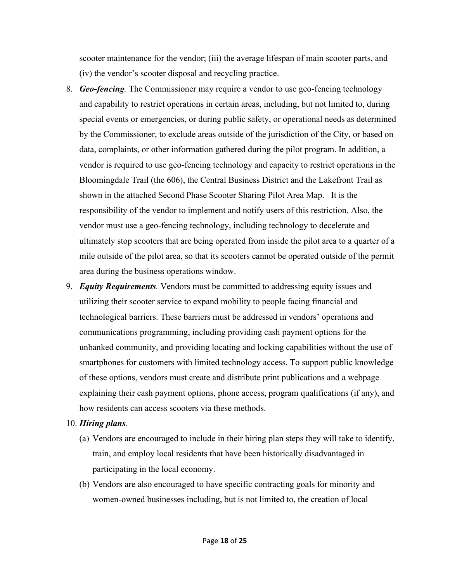scooter maintenance for the vendor; (iii) the average lifespan of main scooter parts, and (iv) the vendor's scooter disposal and recycling practice.

- 8. *Geo-fencing.* The Commissioner may require a vendor to use geo-fencing technology and capability to restrict operations in certain areas, including, but not limited to, during special events or emergencies, or during public safety, or operational needs as determined by the Commissioner, to exclude areas outside of the jurisdiction of the City, or based on data, complaints, or other information gathered during the pilot program. In addition, a vendor is required to use geo-fencing technology and capacity to restrict operations in the Bloomingdale Trail (the 606), the Central Business District and the Lakefront Trail as shown in the attached Second Phase Scooter Sharing Pilot Area Map. It is the responsibility of the vendor to implement and notify users of this restriction. Also, the vendor must use a geo-fencing technology, including technology to decelerate and ultimately stop scooters that are being operated from inside the pilot area to a quarter of a mile outside of the pilot area, so that its scooters cannot be operated outside of the permit area during the business operations window.
- 9. *Equity Requirements.* Vendors must be committed to addressing equity issues and utilizing their scooter service to expand mobility to people facing financial and technological barriers. These barriers must be addressed in vendors' operations and communications programming, including providing cash payment options for the unbanked community, and providing locating and locking capabilities without the use of smartphones for customers with limited technology access. To support public knowledge of these options, vendors must create and distribute print publications and a webpage explaining their cash payment options, phone access, program qualifications (if any), and how residents can access scooters via these methods.

#### 10. *Hiring plans.*

- (a) Vendors are encouraged to include in their hiring plan steps they will take to identify, train, and employ local residents that have been historically disadvantaged in participating in the local economy.
- (b) Vendors are also encouraged to have specific contracting goals for minority and women-owned businesses including, but is not limited to, the creation of local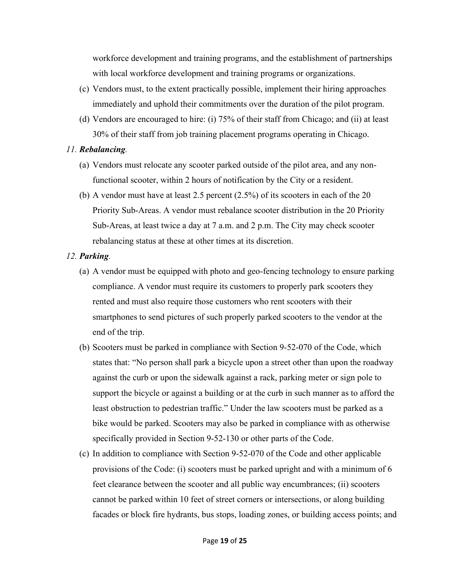workforce development and training programs, and the establishment of partnerships with local workforce development and training programs or organizations.

- (c) Vendors must, to the extent practically possible, implement their hiring approaches immediately and uphold their commitments over the duration of the pilot program.
- (d) Vendors are encouraged to hire: (i) 75% of their staff from Chicago; and (ii) at least 30% of their staff from job training placement programs operating in Chicago.

#### *11. Rebalancing.*

- (a) Vendors must relocate any scooter parked outside of the pilot area, and any nonfunctional scooter, within 2 hours of notification by the City or a resident.
- (b) A vendor must have at least 2.5 percent (2.5%) of its scooters in each of the 20 Priority Sub-Areas. A vendor must rebalance scooter distribution in the 20 Priority Sub-Areas, at least twice a day at 7 a.m. and 2 p.m. The City may check scooter rebalancing status at these at other times at its discretion.

#### *12. Parking.*

- (a) A vendor must be equipped with photo and geo-fencing technology to ensure parking compliance. A vendor must require its customers to properly park scooters they rented and must also require those customers who rent scooters with their smartphones to send pictures of such properly parked scooters to the vendor at the end of the trip.
- (b) Scooters must be parked in compliance with Section 9-52-070 of the Code, which states that: "No person shall park a bicycle upon a street other than upon the roadway against the curb or upon the sidewalk against a rack, parking meter or sign pole to support the bicycle or against a building or at the curb in such manner as to afford the least obstruction to pedestrian traffic." Under the law scooters must be parked as a bike would be parked. Scooters may also be parked in compliance with as otherwise specifically provided in Section 9-52-130 or other parts of the Code.
- (c) In addition to compliance with Section 9-52-070 of the Code and other applicable provisions of the Code: (i) scooters must be parked upright and with a minimum of 6 feet clearance between the scooter and all public way encumbrances; (ii) scooters cannot be parked within 10 feet of street corners or intersections, or along building facades or block fire hydrants, bus stops, loading zones, or building access points; and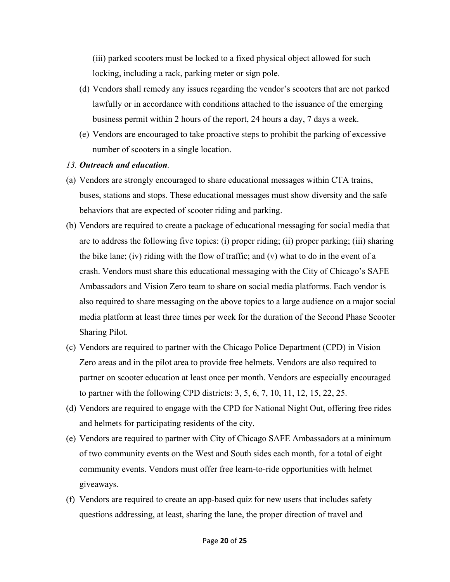(iii) parked scooters must be locked to a fixed physical object allowed for such locking, including a rack, parking meter or sign pole.

- (d) Vendors shall remedy any issues regarding the vendor's scooters that are not parked lawfully or in accordance with conditions attached to the issuance of the emerging business permit within 2 hours of the report, 24 hours a day, 7 days a week.
- (e) Vendors are encouraged to take proactive steps to prohibit the parking of excessive number of scooters in a single location.

#### *13. Outreach and education.*

- (a) Vendors are strongly encouraged to share educational messages within CTA trains, buses, stations and stops. These educational messages must show diversity and the safe behaviors that are expected of scooter riding and parking.
- (b) Vendors are required to create a package of educational messaging for social media that are to address the following five topics: (i) proper riding; (ii) proper parking; (iii) sharing the bike lane; (iv) riding with the flow of traffic; and (v) what to do in the event of a crash. Vendors must share this educational messaging with the City of Chicago's SAFE Ambassadors and Vision Zero team to share on social media platforms. Each vendor is also required to share messaging on the above topics to a large audience on a major social media platform at least three times per week for the duration of the Second Phase Scooter Sharing Pilot.
- (c) Vendors are required to partner with the Chicago Police Department (CPD) in Vision Zero areas and in the pilot area to provide free helmets. Vendors are also required to partner on scooter education at least once per month. Vendors are especially encouraged to partner with the following CPD districts: 3, 5, 6, 7, 10, 11, 12, 15, 22, 25.
- (d) Vendors are required to engage with the CPD for National Night Out, offering free rides and helmets for participating residents of the city.
- (e) Vendors are required to partner with City of Chicago SAFE Ambassadors at a minimum of two community events on the West and South sides each month, for a total of eight community events. Vendors must offer free learn-to-ride opportunities with helmet giveaways.
- (f) Vendors are required to create an app-based quiz for new users that includes safety questions addressing, at least, sharing the lane, the proper direction of travel and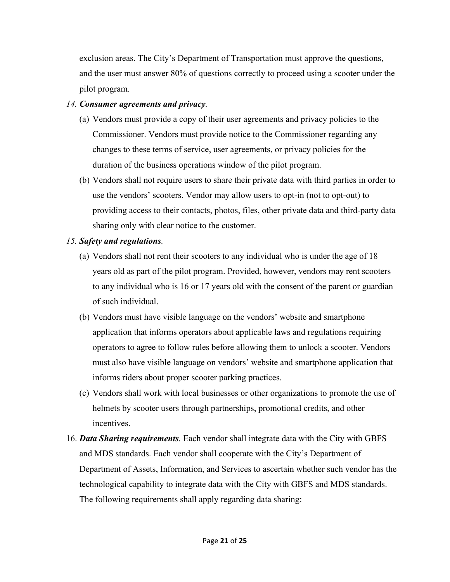exclusion areas. The City's Department of Transportation must approve the questions, and the user must answer 80% of questions correctly to proceed using a scooter under the pilot program.

## *14. Consumer agreements and privacy.*

- (a) Vendors must provide a copy of their user agreements and privacy policies to the Commissioner. Vendors must provide notice to the Commissioner regarding any changes to these terms of service, user agreements, or privacy policies for the duration of the business operations window of the pilot program.
- (b) Vendors shall not require users to share their private data with third parties in order to use the vendors' scooters. Vendor may allow users to opt-in (not to opt-out) to providing access to their contacts, photos, files, other private data and third-party data sharing only with clear notice to the customer.

## *15. Safety and regulations.*

- (a) Vendors shall not rent their scooters to any individual who is under the age of 18 years old as part of the pilot program. Provided, however, vendors may rent scooters to any individual who is 16 or 17 years old with the consent of the parent or guardian of such individual.
- (b) Vendors must have visible language on the vendors' website and smartphone application that informs operators about applicable laws and regulations requiring operators to agree to follow rules before allowing them to unlock a scooter. Vendors must also have visible language on vendors' website and smartphone application that informs riders about proper scooter parking practices.
- (c) Vendors shall work with local businesses or other organizations to promote the use of helmets by scooter users through partnerships, promotional credits, and other incentives.
- 16. *Data Sharing requirements.* Each vendor shall integrate data with the City with GBFS and MDS standards. Each vendor shall cooperate with the City's Department of Department of Assets, Information, and Services to ascertain whether such vendor has the technological capability to integrate data with the City with GBFS and MDS standards. The following requirements shall apply regarding data sharing: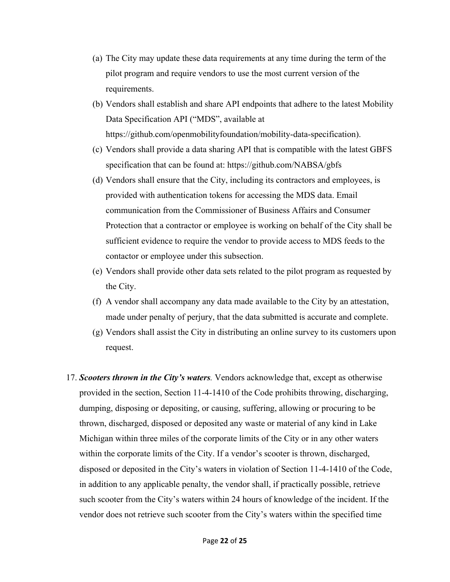- (a) The City may update these data requirements at any time during the term of the pilot program and require vendors to use the most current version of the requirements.
- (b) Vendors shall establish and share API endpoints that adhere to the latest Mobility Data Specification API ("MDS", available at https://github.com/openmobilityfoundation/mobility-data-specification).
- (c) Vendors shall provide a data sharing API that is compatible with the latest GBFS specification that can be found at: https://github.com/NABSA/gbfs
- (d) Vendors shall ensure that the City, including its contractors and employees, is provided with authentication tokens for accessing the MDS data. Email communication from the Commissioner of Business Affairs and Consumer Protection that a contractor or employee is working on behalf of the City shall be sufficient evidence to require the vendor to provide access to MDS feeds to the contactor or employee under this subsection.
- (e) Vendors shall provide other data sets related to the pilot program as requested by the City.
- (f) A vendor shall accompany any data made available to the City by an attestation, made under penalty of perjury, that the data submitted is accurate and complete.
- (g) Vendors shall assist the City in distributing an online survey to its customers upon request.
- 17. *Scooters thrown in the City's waters.* Vendors acknowledge that, except as otherwise provided in the section, Section 11-4-1410 of the Code prohibits throwing, discharging, dumping, disposing or depositing, or causing, suffering, allowing or procuring to be thrown, discharged, disposed or deposited any waste or material of any kind in Lake Michigan within three miles of the corporate limits of the City or in any other waters within the corporate limits of the City. If a vendor's scooter is thrown, discharged, disposed or deposited in the City's waters in violation of Section 11-4-1410 of the Code, in addition to any applicable penalty, the vendor shall, if practically possible, retrieve such scooter from the City's waters within 24 hours of knowledge of the incident. If the vendor does not retrieve such scooter from the City's waters within the specified time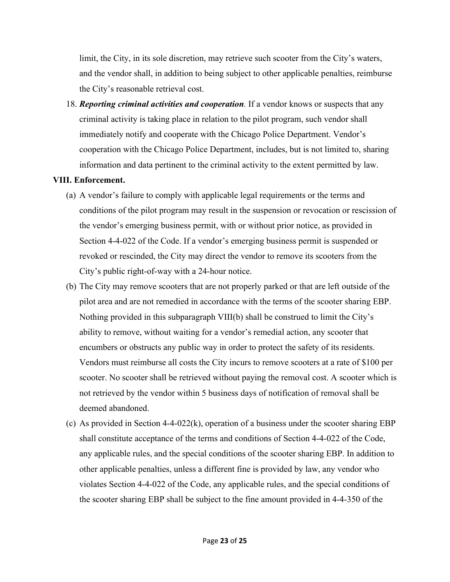limit, the City, in its sole discretion, may retrieve such scooter from the City's waters, and the vendor shall, in addition to being subject to other applicable penalties, reimburse the City's reasonable retrieval cost.

18. *Reporting criminal activities and cooperation.* If a vendor knows or suspects that any criminal activity is taking place in relation to the pilot program, such vendor shall immediately notify and cooperate with the Chicago Police Department. Vendor's cooperation with the Chicago Police Department, includes, but is not limited to, sharing information and data pertinent to the criminal activity to the extent permitted by law.

#### **VIII. Enforcement.**

- (a) A vendor's failure to comply with applicable legal requirements or the terms and conditions of the pilot program may result in the suspension or revocation or rescission of the vendor's emerging business permit, with or without prior notice, as provided in Section 4-4-022 of the Code. If a vendor's emerging business permit is suspended or revoked or rescinded, the City may direct the vendor to remove its scooters from the City's public right‐of‐way with a 24-hour notice.
- (b) The City may remove scooters that are not properly parked or that are left outside of the pilot area and are not remedied in accordance with the terms of the scooter sharing EBP. Nothing provided in this subparagraph VIII(b) shall be construed to limit the City's ability to remove, without waiting for a vendor's remedial action, any scooter that encumbers or obstructs any public way in order to protect the safety of its residents. Vendors must reimburse all costs the City incurs to remove scooters at a rate of \$100 per scooter. No scooter shall be retrieved without paying the removal cost. A scooter which is not retrieved by the vendor within 5 business days of notification of removal shall be deemed abandoned.
- (c) As provided in Section  $4-4-0.022(k)$ , operation of a business under the scooter sharing EBP shall constitute acceptance of the terms and conditions of Section 4-4-022 of the Code, any applicable rules, and the special conditions of the scooter sharing EBP. In addition to other applicable penalties, unless a different fine is provided by law, any vendor who violates Section 4-4-022 of the Code, any applicable rules, and the special conditions of the scooter sharing EBP shall be subject to the fine amount provided in 4-4-350 of the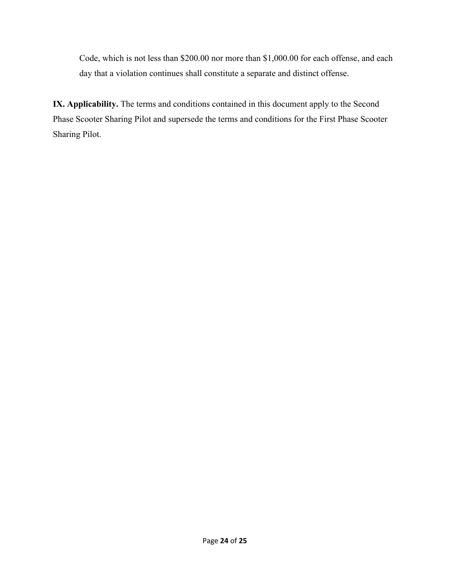Code, which is not less than \$200.00 nor more than \$1,000.00 for each offense, and each day that a violation continues shall constitute a separate and distinct offense.

**IX. Applicability.** The terms and conditions contained in this document apply to the Second Phase Scooter Sharing Pilot and supersede the terms and conditions for the First Phase Scooter Sharing Pilot.